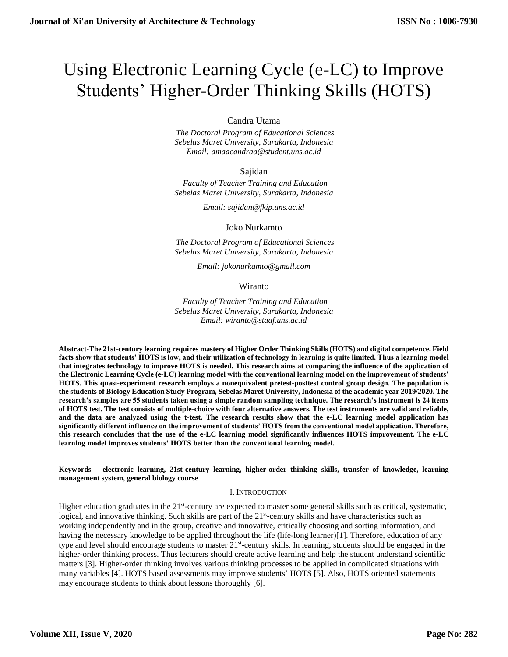# Using Electronic Learning Cycle (e-LC) to Improve Students' Higher-Order Thinking Skills (HOTS)

Candra Utama

 *The Doctoral Program of Educational Sciences Sebelas Maret University, Surakarta, Indonesia Email: amaacandraa@student.uns.ac.id*

Sajidan

 *Faculty of Teacher Training and Education Sebelas Maret University, Surakarta, Indonesia*

*Email: sajidan@fkip.uns.ac.id*

Joko Nurkamto

 *The Doctoral Program of Educational Sciences Sebelas Maret University, Surakarta, Indonesia*

*Email: jokonurkamto@gmail.com*

Wiranto

 *Faculty of Teacher Training and Education Sebelas Maret University, Surakarta, Indonesia Email: wiranto@staaf.uns.ac.id*

**Abstract-The 21st-century learning requires mastery of Higher Order Thinking Skills (HOTS) and digital competence. Field facts show that students' HOTS is low, and their utilization of technology in learning is quite limited. Thus a learning model that integrates technology to improve HOTS is needed. This research aims at comparing the influence of the application of the Electronic Learning Cycle (e-LC) learning model with the conventional learning model on the improvement of students' HOTS. This quasi-experiment research employs a nonequivalent pretest-posttest control group design. The population is the students of Biology Education Study Program, Sebelas Maret University, Indonesia of the academic year 2019/2020. The research's samples are 55 students taken using a simple random sampling technique. The research's instrument is 24 items of HOTS test. The test consists of multiple-choice with four alternative answers. The test instruments are valid and reliable, and the data are analyzed using the t-test. The research results show that the e-LC learning model application has significantly different influence on the improvement of students' HOTS from the conventional model application. Therefore, this research concludes that the use of the e-LC learning model significantly influences HOTS improvement. The e-LC learning model improves students' HOTS better than the conventional learning model.**

#### **Keywords – electronic learning, 21st-century learning, higher-order thinking skills, transfer of knowledge, learning management system, general biology course**

#### I. INTRODUCTION

Higher education graduates in the 21<sup>st</sup>-century are expected to master some general skills such as critical, systematic, logical, and innovative thinking. Such skills are part of the 21<sup>st</sup>-century skills and have characteristics such as working independently and in the group, creative and innovative, critically choosing and sorting information, and having the necessary knowledge to be applied throughout the life (life-long learner)[1]. Therefore, education of any type and level should encourage students to master 21<sup>st</sup>-century skills. In learning, students should be engaged in the higher-order thinking process. Thus lecturers should create active learning and help the student understand scientific matters [3]. Higher-order thinking involves various thinking processes to be applied in complicated situations with many variables [4]. HOTS based assessments may improve students' HOTS [5]. Also, HOTS oriented statements may encourage students to think about lessons thoroughly [6].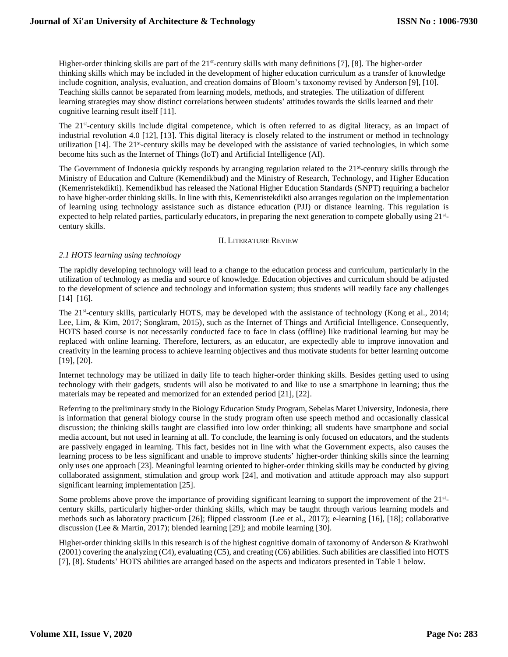Higher-order thinking skills are part of the  $21<sup>st</sup>$ -century skills with many definitions [7], [8]. The higher-order thinking skills which may be included in the development of higher education curriculum as a transfer of knowledge include cognition, analysis, evaluation, and creation domains of Bloom's taxonomy revised by Anderson [9], [10]. Teaching skills cannot be separated from learning models, methods, and strategies. The utilization of different learning strategies may show distinct correlations between students' attitudes towards the skills learned and their cognitive learning result itself [11].

The 21<sup>st</sup>-century skills include digital competence, which is often referred to as digital literacy, as an impact of industrial revolution 4.0 [12], [13]. This digital literacy is closely related to the instrument or method in technology utilization [14]. The 21<sup>st</sup>-century skills may be developed with the assistance of varied technologies, in which some become hits such as the Internet of Things (IoT) and Artificial Intelligence (AI).

The Government of Indonesia quickly responds by arranging regulation related to the 21<sup>st</sup>-century skills through the Ministry of Education and Culture (Kemendikbud) and the Ministry of Research, Technology, and Higher Education (Kemenristekdikti). Kemendikbud has released the National Higher Education Standards (SNPT) requiring a bachelor to have higher-order thinking skills. In line with this, Kemenristekdikti also arranges regulation on the implementation of learning using technology assistance such as distance education (PJJ) or distance learning. This regulation is expected to help related parties, particularly educators, in preparing the next generation to compete globally using 21<sup>st</sup>century skills.

#### II. LITERATURE REVIEW

### *2.1 HOTS learning using technology*

The rapidly developing technology will lead to a change to the education process and curriculum, particularly in the utilization of technology as media and source of knowledge. Education objectives and curriculum should be adjusted to the development of science and technology and information system; thus students will readily face any challenges  $[14]–[16]$ .

The 21<sup>st</sup>-century skills, particularly HOTS, may be developed with the assistance of technology (Kong et al., 2014; Lee, Lim, & Kim, 2017; Songkram, 2015), such as the Internet of Things and Artificial Intelligence. Consequently, HOTS based course is not necessarily conducted face to face in class (offline) like traditional learning but may be replaced with online learning. Therefore, lecturers, as an educator, are expectedly able to improve innovation and creativity in the learning process to achieve learning objectives and thus motivate students for better learning outcome [19], [20].

Internet technology may be utilized in daily life to teach higher-order thinking skills. Besides getting used to using technology with their gadgets, students will also be motivated to and like to use a smartphone in learning; thus the materials may be repeated and memorized for an extended period [21], [22].

Referring to the preliminary study in the Biology Education Study Program, Sebelas Maret University, Indonesia, there is information that general biology course in the study program often use speech method and occasionally classical discussion; the thinking skills taught are classified into low order thinking; all students have smartphone and social media account, but not used in learning at all. To conclude, the learning is only focused on educators, and the students are passively engaged in learning. This fact, besides not in line with what the Government expects, also causes the learning process to be less significant and unable to improve students' higher-order thinking skills since the learning only uses one approach [23]. Meaningful learning oriented to higher-order thinking skills may be conducted by giving collaborated assignment, stimulation and group work [24], and motivation and attitude approach may also support significant learning implementation [25].

Some problems above prove the importance of providing significant learning to support the improvement of the  $21<sup>st</sup>$ century skills, particularly higher-order thinking skills, which may be taught through various learning models and methods such as laboratory practicum [26]; flipped classroom (Lee et al., 2017); e-learning [16], [18]; collaborative discussion (Lee & Martin, 2017); blended learning [29]; and mobile learning [30].

Higher-order thinking skills in this research is of the highest cognitive domain of taxonomy of Anderson & Krathwohl (2001) covering the analyzing (C4), evaluating (C5), and creating (C6) abilities. Such abilities are classified into HOTS [7], [8]. Students' HOTS abilities are arranged based on the aspects and indicators presented in Table 1 below.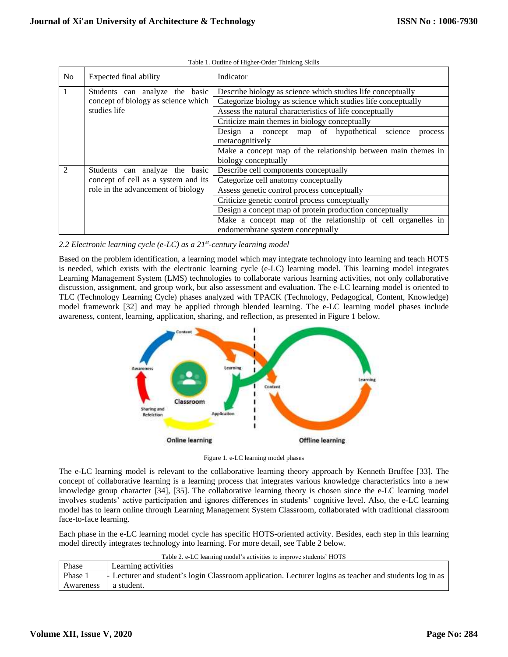| N <sub>o</sub> | Expected final ability                                       | Indicator                                                     |  |  |  |  |  |
|----------------|--------------------------------------------------------------|---------------------------------------------------------------|--|--|--|--|--|
|                | Students can analyze the basic                               | Describe biology as science which studies life conceptually   |  |  |  |  |  |
|                | concept of biology as science which                          | Categorize biology as science which studies life conceptually |  |  |  |  |  |
|                | studies life                                                 | Assess the natural characteristics of life conceptually       |  |  |  |  |  |
|                |                                                              | Criticize main themes in biology conceptually                 |  |  |  |  |  |
|                |                                                              | Design a concept map of hypothetical<br>science<br>process    |  |  |  |  |  |
|                |                                                              | metacognitively                                               |  |  |  |  |  |
|                |                                                              | Make a concept map of the relationship between main themes in |  |  |  |  |  |
|                |                                                              | biology conceptually                                          |  |  |  |  |  |
|                | Students can analyze the basic                               | Describe cell components conceptually                         |  |  |  |  |  |
|                | concept of cell as a system and its                          | Categorize cell anatomy conceptually                          |  |  |  |  |  |
|                | role in the advancement of biology                           | Assess genetic control process conceptually                   |  |  |  |  |  |
|                |                                                              | Criticize genetic control process conceptually                |  |  |  |  |  |
|                |                                                              | Design a concept map of protein production conceptually       |  |  |  |  |  |
|                | Make a concept map of the relationship of cell organelles in |                                                               |  |  |  |  |  |
|                |                                                              | endomembrane system conceptually                              |  |  |  |  |  |

Table 1. Outline of Higher-Order Thinking Skills

*2.2 Electronic learning cycle (e-LC) as a 21st -century learning model*

Based on the problem identification, a learning model which may integrate technology into learning and teach HOTS is needed, which exists with the electronic learning cycle (e-LC) learning model. This learning model integrates Learning Management System (LMS) technologies to collaborate various learning activities, not only collaborative discussion, assignment, and group work, but also assessment and evaluation. The e-LC learning model is oriented to TLC (Technology Learning Cycle) phases analyzed with TPACK (Technology, Pedagogical, Content, Knowledge) model framework [32] and may be applied through blended learning. The e-LC learning model phases include awareness, content, learning, application, sharing, and reflection, as presented in Figure 1 below.



Figure 1. e-LC learning model phases

The e-LC learning model is relevant to the collaborative learning theory approach by Kenneth Bruffee [33]. The concept of collaborative learning is a learning process that integrates various knowledge characteristics into a new knowledge group character [34], [35]. The collaborative learning theory is chosen since the e-LC learning model involves students' active participation and ignores differences in students' cognitive level. Also, the e-LC learning model has to learn online through Learning Management System Classroom, collaborated with traditional classroom face-to-face learning.

Each phase in the e-LC learning model cycle has specific HOTS-oriented activity. Besides, each step in this learning model directly integrates technology into learning. For more detail, see Table 2 below.

| Table 2. e-LC learning model's activities to improve students' HOTS |                                                                                                        |  |  |  |  |
|---------------------------------------------------------------------|--------------------------------------------------------------------------------------------------------|--|--|--|--|
| Phase                                                               | Learning activities                                                                                    |  |  |  |  |
| Phase 1                                                             | Execturer and student's login Classroom application. Lecturer logins as teacher and students log in as |  |  |  |  |
| Awareness                                                           | a student.                                                                                             |  |  |  |  |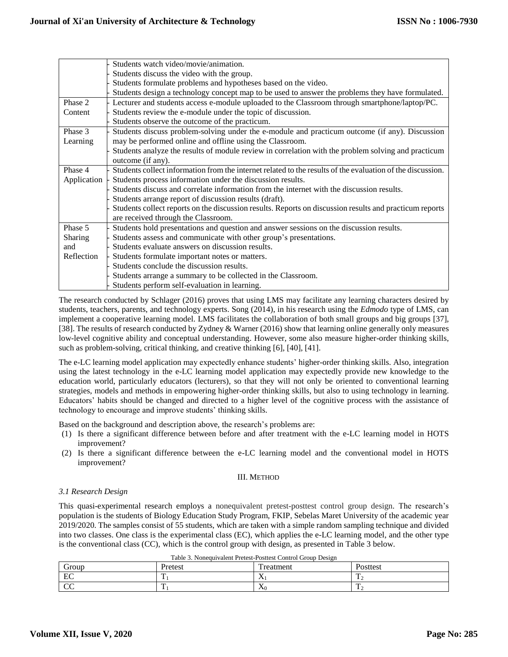|             | Students watch video/movie/animation.                                                                      |  |  |  |  |  |  |
|-------------|------------------------------------------------------------------------------------------------------------|--|--|--|--|--|--|
|             | Students discuss the video with the group.                                                                 |  |  |  |  |  |  |
|             | Students formulate problems and hypotheses based on the video.                                             |  |  |  |  |  |  |
|             | Students design a technology concept map to be used to answer the problems they have formulated.           |  |  |  |  |  |  |
| Phase 2     | Lecturer and students access e-module uploaded to the Classroom through smartphone/laptop/PC.              |  |  |  |  |  |  |
| Content     | Students review the e-module under the topic of discussion.                                                |  |  |  |  |  |  |
|             | Students observe the outcome of the practicum.                                                             |  |  |  |  |  |  |
| Phase 3     | Students discuss problem-solving under the e-module and practicum outcome (if any). Discussion             |  |  |  |  |  |  |
| Learning    | may be performed online and offline using the Classroom.                                                   |  |  |  |  |  |  |
|             | Students analyze the results of module review in correlation with the problem solving and practicum        |  |  |  |  |  |  |
|             | outcome (if any).                                                                                          |  |  |  |  |  |  |
| Phase 4     | Students collect information from the internet related to the results of the evaluation of the discussion. |  |  |  |  |  |  |
| Application | Students process information under the discussion results.                                                 |  |  |  |  |  |  |
|             | Students discuss and correlate information from the internet with the discussion results.                  |  |  |  |  |  |  |
|             | Students arrange report of discussion results (draft).                                                     |  |  |  |  |  |  |
|             | Students collect reports on the discussion results. Reports on discussion results and practicum reports    |  |  |  |  |  |  |
|             | are received through the Classroom.                                                                        |  |  |  |  |  |  |
| Phase 5     | Students hold presentations and question and answer sessions on the discussion results.                    |  |  |  |  |  |  |
| Sharing     | Students assess and communicate with other group's presentations.                                          |  |  |  |  |  |  |
| and         | Students evaluate answers on discussion results.                                                           |  |  |  |  |  |  |
| Reflection  | Students formulate important notes or matters.                                                             |  |  |  |  |  |  |
|             | Students conclude the discussion results.                                                                  |  |  |  |  |  |  |
|             | Students arrange a summary to be collected in the Classroom.                                               |  |  |  |  |  |  |
|             | Students perform self-evaluation in learning.                                                              |  |  |  |  |  |  |

The research conducted by Schlager (2016) proves that using LMS may facilitate any learning characters desired by students, teachers, parents, and technology experts. Song (2014), in his research using the *Edmodo* type of LMS, can implement a cooperative learning model. LMS facilitates the collaboration of both small groups and big groups [37], [38]. The results of research conducted by Zydney & Warner (2016) show that learning online generally only measures low-level cognitive ability and conceptual understanding. However, some also measure higher-order thinking skills, such as problem-solving, critical thinking, and creative thinking [6], [40], [41].

The e-LC learning model application may expectedly enhance students' higher-order thinking skills. Also, integration using the latest technology in the e-LC learning model application may expectedly provide new knowledge to the education world, particularly educators (lecturers), so that they will not only be oriented to conventional learning strategies, models and methods in empowering higher-order thinking skills, but also to using technology in learning. Educators' habits should be changed and directed to a higher level of the cognitive process with the assistance of technology to encourage and improve students' thinking skills.

Based on the background and description above, the research's problems are:

- (1) Is there a significant difference between before and after treatment with the e-LC learning model in HOTS improvement?
- (2) Is there a significant difference between the e-LC learning model and the conventional model in HOTS improvement?

# III. METHOD

# *3.1 Research Design*

This quasi-experimental research employs a nonequivalent pretest-posttest control group design. The research's population is the students of Biology Education Study Program, FKIP, Sebelas Maret University of the academic year 2019/2020. The samples consist of 55 students, which are taken with a simple random sampling technique and divided into two classes. One class is the experimental class (EC), which applies the e-LC learning model, and the other type is the conventional class (CC), which is the control group with design, as presented in Table 3 below.

| Group          | Pretest | ' reatment | Posttest |
|----------------|---------|------------|----------|
| EC             |         | $\lambda$  |          |
| $\overline{C}$ |         | $\Delta($  |          |

Table 3. Nonequivalent Pretest-Posttest Control Group Design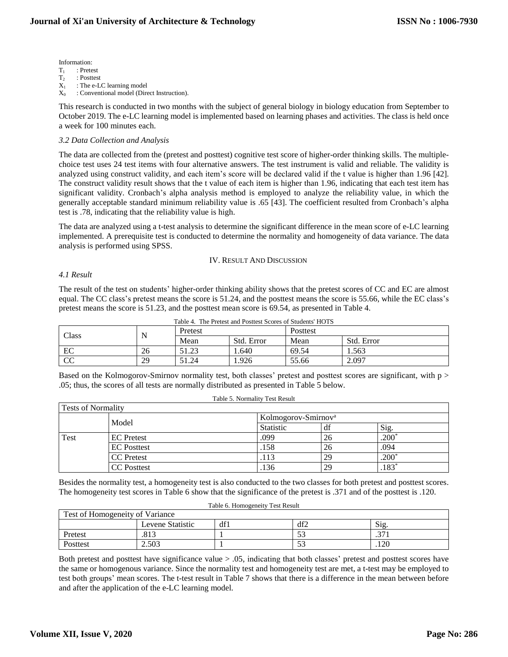# Information:<br> $T_1$  : Prete

 $T_1$  : Pretest<br> $T_2$  : Posttes

- $T_2$  : Posttest<br> $X_1$  : The e-Li
- $X_1$  : The e-LC learning model<br> $X_0$  : Conventional model (Directional) : Conventional model (Direct Instruction).

This research is conducted in two months with the subject of general biology in biology education from September to October 2019. The e-LC learning model is implemented based on learning phases and activities. The class is held once a week for 100 minutes each.

#### *3.2 Data Collection and Analysis*

The data are collected from the (pretest and posttest) cognitive test score of higher-order thinking skills. The multiplechoice test uses 24 test items with four alternative answers. The test instrument is valid and reliable. The validity is analyzed using construct validity, and each item's score will be declared valid if the t value is higher than 1.96 [42]. The construct validity result shows that the t value of each item is higher than 1.96, indicating that each test item has significant validity. Cronbach's alpha analysis method is employed to analyze the reliability value, in which the generally acceptable standard minimum reliability value is .65 [43]. The coefficient resulted from Cronbach's alpha test is .78, indicating that the reliability value is high.

The data are analyzed using a t-test analysis to determine the significant difference in the mean score of e-LC learning implemented. A prerequisite test is conducted to determine the normality and homogeneity of data variance. The data analysis is performed using SPSS.

#### IV. RESULT AND DISCUSSION

#### *4.1 Result*

The result of the test on students' higher-order thinking ability shows that the pretest scores of CC and EC are almost equal. The CC class's pretest means the score is 51.24, and the posttest means the score is 55.66, while the EC class's pretest means the score is 51.23, and the posttest mean score is 69.54, as presented in Table 4.

| Class       |    | Pretest           |            | Posttest |            |
|-------------|----|-------------------|------------|----------|------------|
|             | ΙN | Mean              | Std. Error | Mean     | Std. Error |
| EC          | 26 | 51 72<br>ر، ۱۰۷ ر | 1.640      | 69.54    | 1.563      |
| $\sim$<br>w | 29 | 51.24             | 1.926      | 55.66    | 2.097      |

Table 4. The Pretest and Posttest Scores of Students' HOTS

Based on the Kolmogorov-Smirnov normality test, both classes' pretest and posttest scores are significant, with p > .05; thus, the scores of all tests are normally distributed as presented in Table 5 below.

| Table 5. Normality Test Result |                                 |                  |    |                |  |  |  |
|--------------------------------|---------------------------------|------------------|----|----------------|--|--|--|
| Tests of Normality             |                                 |                  |    |                |  |  |  |
|                                | Kolmogorov-Smirnov <sup>a</sup> |                  |    |                |  |  |  |
|                                | Model                           | <b>Statistic</b> | df | Sig.           |  |  |  |
| Test                           | <b>EC</b> Pretest               | .099             | 26 | $.200^{\circ}$ |  |  |  |
|                                | <b>EC</b> Posttest              | .158             | 26 | .094           |  |  |  |
|                                | <b>CC</b> Pretest               | .113             | 29 | $.200*$        |  |  |  |
|                                | <b>CC</b> Posttest              | 136              | 29 | $.183*$        |  |  |  |

Besides the normality test, a homogeneity test is also conducted to the two classes for both pretest and posttest scores. The homogeneity test scores in Table 6 show that the significance of the pretest is .371 and of the posttest is .120.

| Table 6. Homogeneity Test Result       |      |  |           |        |  |  |  |
|----------------------------------------|------|--|-----------|--------|--|--|--|
| Test of Homogeneity of Variance        |      |  |           |        |  |  |  |
| df2<br>df1<br>Sig.<br>Levene Statistic |      |  |           |        |  |  |  |
| Pretest                                | .813 |  | - م<br>ЭJ | $\sim$ |  |  |  |
| 53<br>2.503<br>120<br>Posttest         |      |  |           |        |  |  |  |

Both pretest and posttest have significance value > .05, indicating that both classes' pretest and posttest scores have the same or homogenous variance. Since the normality test and homogeneity test are met, a t-test may be employed to test both groups' mean scores. The t-test result in Table 7 shows that there is a difference in the mean between before and after the application of the e-LC learning model.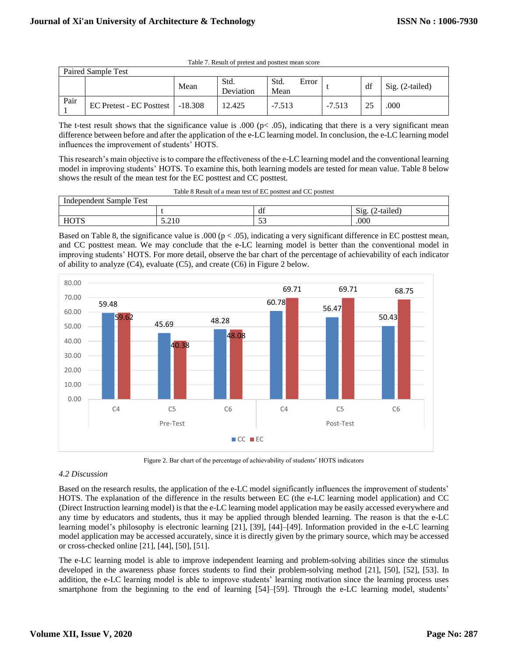| Paired Sample Test |                                    |      |                   |              |       |          |    |                 |
|--------------------|------------------------------------|------|-------------------|--------------|-------|----------|----|-----------------|
|                    |                                    | Mean | Std.<br>Deviation | Std.<br>Mean | Error |          | df | Sig. (2-tailed) |
| Pair               | EC Pretest - EC Posttest   -18.308 |      | 12.425            | $-7.513$     |       | $-7.513$ |    | .000            |

Table 7. Result of pretest and posttest mean score

The t-test result shows that the significance value is .000 ( $pc$  .05), indicating that there is a very significant mean difference between before and after the application of the e-LC learning model. In conclusion, the e-LC learning model influences the improvement of students' HOTS.

This research's main objective is to compare the effectiveness of the e-LC learning model and the conventional learning model in improving students' HOTS. To examine this, both learning models are tested for mean value. Table 8 below shows the result of the mean test for the EC posttest and CC posttest.

| $\frac{1}{2}$ and the result of the mean test for the EC position and CC position. |  |                                                              |                   |  |  |  |  |  |
|------------------------------------------------------------------------------------|--|--------------------------------------------------------------|-------------------|--|--|--|--|--|
|                                                                                    |  | Table 8 Result of a mean test of EC posttest and CC posttest |                   |  |  |  |  |  |
| Independent Sample Test                                                            |  |                                                              |                   |  |  |  |  |  |
|                                                                                    |  |                                                              | $Sig. (2-tailed)$ |  |  |  |  |  |

HOTS  $\begin{array}{|c|c|c|c|c|c|c|c|} \hline 5.210 & 53 & 000 \hline \end{array}$ Based on Table 8, the significance value is .000 ( $p < .05$ ), indicating a very significant difference in EC posttest mean, and CC posttest mean. We may conclude that the e-LC learning model is better than the conventional model in improving students' HOTS. For more detail, observe the bar chart of the percentage of achievability of each indicator



Figure 2. Bar chart of the percentage of achievability of students' HOTS indicators

# *4.2 Discussion*

Based on the research results, the application of the e-LC model significantly influences the improvement of students' HOTS. The explanation of the difference in the results between EC (the e-LC learning model application) and CC (Direct Instruction learning model) is that the e-LC learning model application may be easily accessed everywhere and any time by educators and students, thus it may be applied through blended learning. The reason is that the e-LC learning model's philosophy is electronic learning [21], [39], [44]–[49]. Information provided in the e-LC learning model application may be accessed accurately, since it is directly given by the primary source, which may be accessed or cross-checked online [21], [44], [50], [51].

The e-LC learning model is able to improve independent learning and problem-solving abilities since the stimulus developed in the awareness phase forces students to find their problem-solving method [21], [50], [52], [53]. In addition, the e-LC learning model is able to improve students' learning motivation since the learning process uses smartphone from the beginning to the end of learning [54]–[59]. Through the e-LC learning model, students'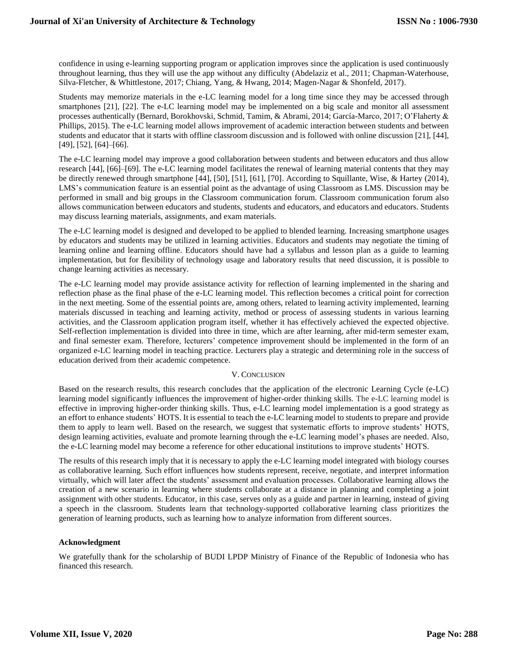confidence in using e-learning supporting program or application improves since the application is used continuously throughout learning, thus they will use the app without any difficulty (Abdelaziz et al., 2011; Chapman-Waterhouse, Silva-Fletcher, & Whittlestone, 2017; Chiang, Yang, & Hwang, 2014; Magen-Nagar & Shonfeld, 2017).

Students may memorize materials in the e-LC learning model for a long time since they may be accessed through smartphones [21], [22]. The e-LC learning model may be implemented on a big scale and monitor all assessment processes authentically (Bernard, Borokhovski, Schmid, Tamim, & Abrami, 2014; García-Marco, 2017; O'Flaherty & Phillips, 2015). The e-LC learning model allows improvement of academic interaction between students and between students and educator that it starts with offline classroom discussion and is followed with online discussion [21], [44], [49], [52], [64]–[66].

The e-LC learning model may improve a good collaboration between students and between educators and thus allow research [44], [66]–[69]. The e-LC learning model facilitates the renewal of learning material contents that they may be directly renewed through smartphone [44], [50], [51], [61], [70]. According to Squillante, Wise, & Hartey (2014), LMS's communication feature is an essential point as the advantage of using Classroom as LMS. Discussion may be performed in small and big groups in the Classroom communication forum. Classroom communication forum also allows communication between educators and students, students and educators, and educators and educators. Students may discuss learning materials, assignments, and exam materials.

The e-LC learning model is designed and developed to be applied to blended learning. Increasing smartphone usages by educators and students may be utilized in learning activities. Educators and students may negotiate the timing of learning online and learning offline. Educators should have had a syllabus and lesson plan as a guide to learning implementation, but for flexibility of technology usage and laboratory results that need discussion, it is possible to change learning activities as necessary.

The e-LC learning model may provide assistance activity for reflection of learning implemented in the sharing and reflection phase as the final phase of the e-LC learning model. This reflection becomes a critical point for correction in the next meeting. Some of the essential points are, among others, related to learning activity implemented, learning materials discussed in teaching and learning activity, method or process of assessing students in various learning activities, and the Classroom application program itself, whether it has effectively achieved the expected objective. Self-reflection implementation is divided into three in time, which are after learning, after mid-term semester exam, and final semester exam. Therefore, lecturers' competence improvement should be implemented in the form of an organized e-LC learning model in teaching practice. Lecturers play a strategic and determining role in the success of education derived from their academic competence.

#### V. CONCLUSION

Based on the research results, this research concludes that the application of the electronic Learning Cycle (e-LC) learning model significantly influences the improvement of higher-order thinking skills. The e-LC learning model is effective in improving higher-order thinking skills. Thus, e-LC learning model implementation is a good strategy as an effort to enhance students' HOTS. It is essential to teach the e-LC learning model to students to prepare and provide them to apply to learn well. Based on the research, we suggest that systematic efforts to improve students' HOTS, design learning activities, evaluate and promote learning through the e-LC learning model's phases are needed. Also, the e-LC learning model may become a reference for other educational institutions to improve students' HOTS.

The results of this research imply that it is necessary to apply the e-LC learning model integrated with biology courses as collaborative learning. Such effort influences how students represent, receive, negotiate, and interpret information virtually, which will later affect the students' assessment and evaluation processes. Collaborative learning allows the creation of a new scenario in learning where students collaborate at a distance in planning and completing a joint assignment with other students. Educator, in this case, serves only as a guide and partner in learning, instead of giving a speech in the classroom. Students learn that technology-supported collaborative learning class prioritizes the generation of learning products, such as learning how to analyze information from different sources.

#### **Acknowledgment**

We gratefully thank for the scholarship of BUDI LPDP Ministry of Finance of the Republic of Indonesia who has financed this research.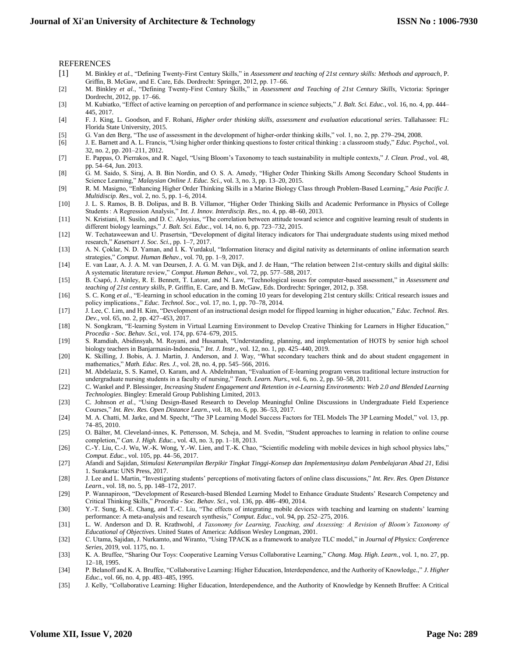#### REFERENCES

- [1] M. Binkley *et al.*, "Defining Twenty-First Century Skills," in *Assessment and teaching of 21st century skills: Methods and approach*, P. Griffin, B. McGaw, and E. Care, Eds. Dordrecht: Springer, 2012, pp. 17–66.
- [2] M. Binkley *et al.*, "Defining Twenty-First Century Skills," in *Assessment and Teaching of 21st Century Skills*, Victoria: Springer Dordrecht, 2012, pp. 17–66.
- [3] M. Kubiatko, "Effect of active learning on perception of and performance in science subjects," *J. Balt. Sci. Educ.*, vol. 16, no. 4, pp. 444– 445, 2017.
- [4] F. J. King, L. Goodson, and F. Rohani, *Higher order thinking skills, assessment and evaluation educational series*. Tallahassee: FL: Florida State University, 2015.
- [5] G. Van den Berg, "The use of assessment in the development of higher-order thinking skills," vol. 1, no. 2, pp. 279–294, 2008.
- [6] J. E. Barnett and A. L. Francis, "Using higher order thinking questions to foster critical thinking : a classroom study," *Educ. Psychol.*, vol. 32, no. 2, pp. 201–211, 2012.
- [7] E. Pappas, O. Pierrakos, and R. Nagel, "Using Bloom's Taxonomy to teach sustainability in multiple contexts," *J. Clean. Prod.*, vol. 48, pp. 54–64, Jun. 2013.
- [8] G. M. Saido, S. Siraj, A. B. Bin Nordin, and O. S. A. Amedy, "Higher Order Thinking Skills Among Secondary School Students in Science Learning," *Malaysian Online J. Educ. Sci.*, vol. 3, no. 3, pp. 13–20, 2015.
- [9] R. M. Masigno, "Enhancing Higher Order Thinking Skills in a Marine Biology Class through Problem-Based Learning," *Asia Pacific J. Multidiscip. Res.*, vol. 2, no. 5, pp. 1–6, 2014.
- [10] J. L. S. Ramos, B. B. Dolipas, and B. B. Villamor, "Higher Order Thinking Skills and Academic Performance in Physics of College Students : A Regression Analysis," *Int. J. Innov. Interdiscip. Res.*, no. 4, pp. 48–60, 2013.
- [11] N. Kristiani, H. Susilo, and D. C. Aloysius, "The correlation between attitude toward science and cognitive learning result of students in different biology learnings," *J. Balt. Sci. Educ.*, vol. 14, no. 6, pp. 723–732, 2015.
- [12] W. Techataweewan and U. Prasertsin, "Development of digital literacy indicators for Thai undergraduate students using mixed method research," *Kasetsart J. Soc. Sci.*, pp. 1–7, 2017.
- [13] A. N. Çoklar, N. D. Yaman, and I. K. Yurdakul, "Information literacy and digital nativity as determinants of online information search strategies," *Comput. Human Behav.*, vol. 70, pp. 1–9, 2017.
- [14] E. van Laar, A. J. A. M. van Deursen, J. A. G. M. van Dijk, and J. de Haan, "The relation between 21st-century skills and digital skills: A systematic literature review," *Comput. Human Behav.*, vol. 72, pp. 577–588, 2017.
- [15] B. Csapó, J. Ainley, R. E. Bennett, T. Latour, and N. Law, "Technological issues for computer-based assessment," in *Assessment and teaching of 21st century skills*, P. Griffin, E. Care, and B. McGaw, Eds. Dordrecht: Springer, 2012, p. 358.
- [16] S. C. Kong *et al.*, "E-learning in school education in the coming 10 years for developing 21st century skills: Critical research issues and policy implications.," *Educ. Technol. Soc.*, vol. 17, no. 1, pp. 70–78, 2014.
- [17] J. Lee, C. Lim, and H. Kim, "Development of an instructional design model for flipped learning in higher education," *Educ. Technol. Res. Dev.*, vol. 65, no. 2, pp. 427–453, 2017.
- [18] N. Songkram, "E-learning System in Virtual Learning Environment to Develop Creative Thinking for Learners in Higher Education," *Procedia - Soc. Behav. Sci.*, vol. 174, pp. 674–679, 2015.
- [19] S. Ramdiah, Abidinsyah, M. Royani, and Husamah, "Understanding, planning, and implementation of HOTS by senior high school biology teachers in Banjarmasin-Indonesia," *Int. J. Instr.*, vol. 12, no. 1, pp. 425–440, 2019.
- [20] K. Skilling, J. Bobis, A. J. Martin, J. Anderson, and J. Way, "What secondary teachers think and do about student engagement in mathematics," *Math. Educ. Res. J.*, vol. 28, no. 4, pp. 545–566, 2016.
- [21] M. Abdelaziz, S. S. Kamel, O. Karam, and A. Abdelrahman, "Evaluation of E-learning program versus traditional lecture instruction for undergraduate nursing students in a faculty of nursing," *Teach. Learn. Nurs.*, vol. 6, no. 2, pp. 50–58, 2011.
- [22] C. Wankel and P. Blessinger, *Increasing Student Engagement and Retention in e-Learning Environments: Web 2.0 and Blended Learning Technologies*. Bingley: Emerald Group Publishing Limited, 2013.
- [23] C. Johnson *et al.*, "Using Design-Based Research to Develop Meaningful Online Discussions in Undergraduate Field Experience Courses," *Int. Rev. Res. Open Distance Learn.*, vol. 18, no. 6, pp. 36–53, 2017.
- [24] M. A. Chatti, M. Jarke, and M. Specht, "The 3P Learning Model Success Factors for TEL Models The 3P Learning Model," vol. 13, pp. 74–85, 2010.
- [25] O. Bälter, M. Cleveland-innes, K. Pettersson, M. Scheja, and M. Svedin, "Student approaches to learning in relation to online course completion," *Can. J. High. Educ.*, vol. 43, no. 3, pp. 1–18, 2013.
- [26] C.-Y. Liu, C.-J. Wu, W.-K. Wong, Y.-W. Lien, and T.-K. Chao, "Scientific modeling with mobile devices in high school physics labs," *Comput. Educ.*, vol. 105, pp. 44–56, 2017.
- [27] Afandi and Sajidan, *Stimulasi Keterampilan Berpikir Tingkat Tinggi-Konsep dan Implementasinya dalam Pembelajaran Abad 21*, Edisi 1. Surakarta: UNS Press, 2017.
- [28] J. Lee and L. Martin, "Investigating students' perceptions of motivating factors of online class discussions," *Int. Rev. Res. Open Distance Learn.*, vol. 18, no. 5, pp. 148–172, 2017.
- [29] P. Wannapiroon, "Development of Research-based Blended Learning Model to Enhance Graduate Students' Research Competency and Critical Thinking Skills," *Procedia - Soc. Behav. Sci.*, vol. 136, pp. 486–490, 2014.
- [30] Y.-T. Sung, K.-E. Chang, and T.-C. Liu, "The effects of integrating mobile devices with teaching and learning on students' learning performance: A meta-analysis and research synthesis," *Comput. Educ.*, vol. 94, pp. 252–275, 2016.
- [31] L. W. Anderson and D. R. Krathwohl, *A Taxonomy for Learning, Teaching, and Assessing: A Revision of Bloom's Taxonomy of Educational of Objectives*. United States of America: Addison Wesley Longman, 2001.
- [32] C. Utama, Sajidan, J. Nurkamto, and Wiranto, "Using TPACK as a framework to analyze TLC model," in *Journal of Physics: Conference Series*, 2019, vol. 1175, no. 1.
- [33] K. A. Bruffee, "Sharing Our Toys: Cooperative Learning Versus Collaborative Learning," *Chang. Mag. High. Learn.*, vol. 1, no. 27, pp. 12–18, 1995.
- [34] P. Belanoff and K. A. Bruffee, "Collaborative Learning: Higher Education, Interdependence, and the Authority of Knowledge.," *J. Higher Educ.*, vol. 66, no. 4, pp. 483–485, 1995.
- [35] J. Kelly, "Collaborative Learning: Higher Education, Interdependence, and the Authority of Knowledge by Kenneth Bruffee: A Critical